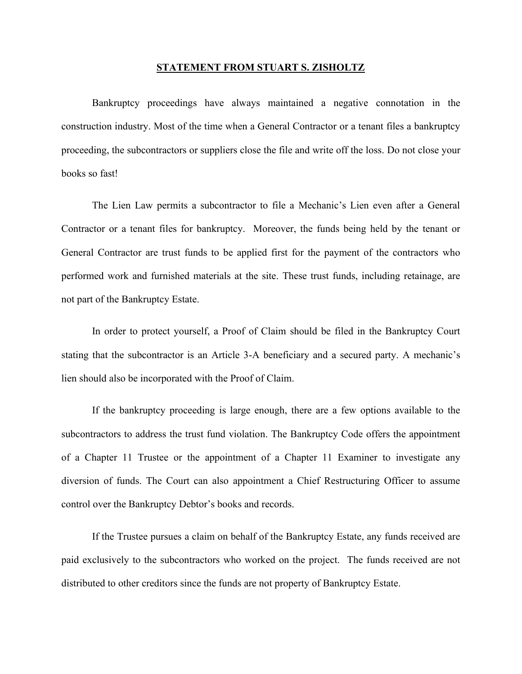## **STATEMENT FROM STUART S. ZISHOLTZ**

Bankruptcy proceedings have always maintained a negative connotation in the construction industry. Most of the time when a General Contractor or a tenant files a bankruptcy proceeding, the subcontractors or suppliers close the file and write off the loss. Do not close your books so fast!

The Lien Law permits a subcontractor to file a Mechanic's Lien even after a General Contractor or a tenant files for bankruptcy. Moreover, the funds being held by the tenant or General Contractor are trust funds to be applied first for the payment of the contractors who performed work and furnished materials at the site. These trust funds, including retainage, are not part of the Bankruptcy Estate.

In order to protect yourself, a Proof of Claim should be filed in the Bankruptcy Court stating that the subcontractor is an Article 3-A beneficiary and a secured party. A mechanic's lien should also be incorporated with the Proof of Claim.

If the bankruptcy proceeding is large enough, there are a few options available to the subcontractors to address the trust fund violation. The Bankruptcy Code offers the appointment of a Chapter 11 Trustee or the appointment of a Chapter 11 Examiner to investigate any diversion of funds. The Court can also appointment a Chief Restructuring Officer to assume control over the Bankruptcy Debtor's books and records.

If the Trustee pursues a claim on behalf of the Bankruptcy Estate, any funds received are paid exclusively to the subcontractors who worked on the project. The funds received are not distributed to other creditors since the funds are not property of Bankruptcy Estate.